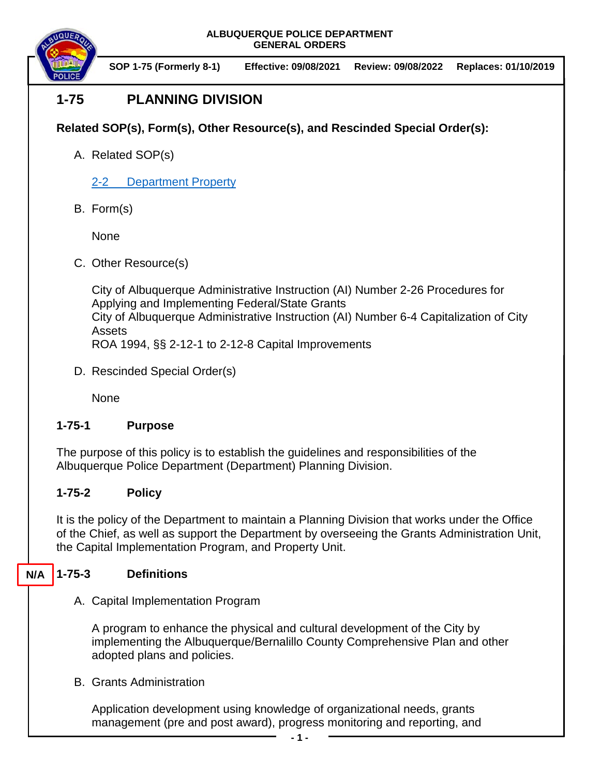**ALBUQUERQUE POLICE DEPARTMENT GENERAL ORDERS**



**SOP 1-75 (Formerly 8-1) Effective: 09/08/2021 Review: 09/08/2022 Replaces: 01/10/2019**

# **1-75 PLANNING DIVISION**

# **Related SOP(s), Form(s), Other Resource(s), and Rescinded Special Order(s):**

- A. Related SOP(s)
	- [2-2 Department Property](https://powerdms.com/docs/216)
- B. Form(s)

None

C. Other Resource(s)

City of Albuquerque Administrative Instruction (AI) Number 2-26 Procedures for Applying and Implementing Federal/State Grants City of Albuquerque Administrative Instruction (AI) Number 6-4 Capitalization of City Assets ROA 1994, §§ 2-12-1 to 2-12-8 Capital Improvements

D. Rescinded Special Order(s)

None

### **1-75-1 Purpose**

The purpose of this policy is to establish the guidelines and responsibilities of the Albuquerque Police Department (Department) Planning Division.

## **1-75-2 Policy**

It is the policy of the Department to maintain a Planning Division that works under the Office of the Chief, as well as support the Department by overseeing the Grants Administration Unit, the Capital Implementation Program, and Property Unit.

#### **1-75-3 Definitions N/A**

A. Capital Implementation Program

A program to enhance the physical and cultural development of the City by implementing the Albuquerque/Bernalillo County Comprehensive Plan and other adopted plans and policies.

B. Grants Administration

Application development using knowledge of organizational needs, grants management (pre and post award), progress monitoring and reporting, and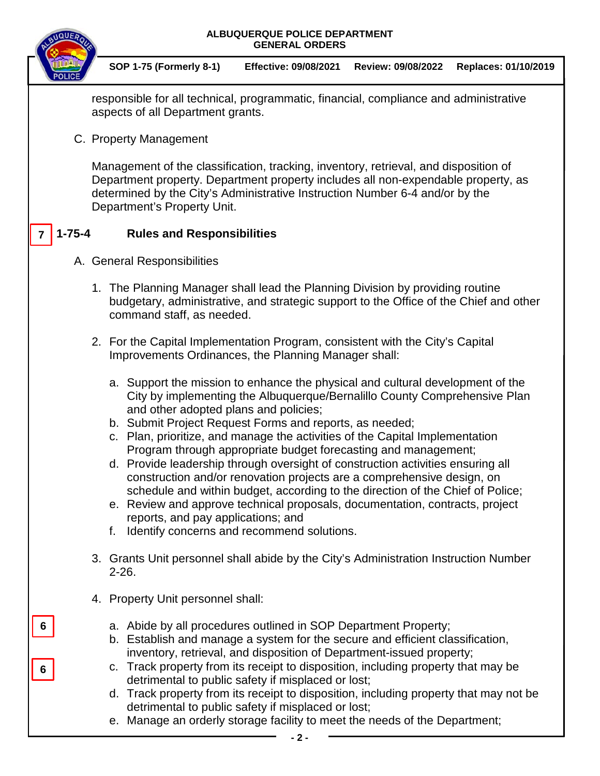|                             |                                                                                                                                                                                                     | ALBUQUERQUE POLICE DEPARTMENT<br><b>GENERAL ORDERS</b>                                                                                                                                                                                                                                                                                                                                                                                                                                                                                                                                                                                                                                                                                                                                                                                     |                              |                    |                      |  |
|-----------------------------|-----------------------------------------------------------------------------------------------------------------------------------------------------------------------------------------------------|--------------------------------------------------------------------------------------------------------------------------------------------------------------------------------------------------------------------------------------------------------------------------------------------------------------------------------------------------------------------------------------------------------------------------------------------------------------------------------------------------------------------------------------------------------------------------------------------------------------------------------------------------------------------------------------------------------------------------------------------------------------------------------------------------------------------------------------------|------------------------------|--------------------|----------------------|--|
|                             |                                                                                                                                                                                                     | <b>SOP 1-75 (Formerly 8-1)</b>                                                                                                                                                                                                                                                                                                                                                                                                                                                                                                                                                                                                                                                                                                                                                                                                             | <b>Effective: 09/08/2021</b> | Review: 09/08/2022 | Replaces: 01/10/2019 |  |
|                             | responsible for all technical, programmatic, financial, compliance and administrative<br>aspects of all Department grants.                                                                          |                                                                                                                                                                                                                                                                                                                                                                                                                                                                                                                                                                                                                                                                                                                                                                                                                                            |                              |                    |                      |  |
|                             |                                                                                                                                                                                                     | C. Property Management                                                                                                                                                                                                                                                                                                                                                                                                                                                                                                                                                                                                                                                                                                                                                                                                                     |                              |                    |                      |  |
|                             |                                                                                                                                                                                                     | Management of the classification, tracking, inventory, retrieval, and disposition of<br>Department property. Department property includes all non-expendable property, as<br>determined by the City's Administrative Instruction Number 6-4 and/or by the<br>Department's Property Unit.                                                                                                                                                                                                                                                                                                                                                                                                                                                                                                                                                   |                              |                    |                      |  |
| $1 - 75 - 4$                |                                                                                                                                                                                                     | <b>Rules and Responsibilities</b>                                                                                                                                                                                                                                                                                                                                                                                                                                                                                                                                                                                                                                                                                                                                                                                                          |                              |                    |                      |  |
| A. General Responsibilities |                                                                                                                                                                                                     |                                                                                                                                                                                                                                                                                                                                                                                                                                                                                                                                                                                                                                                                                                                                                                                                                                            |                              |                    |                      |  |
|                             | 1. The Planning Manager shall lead the Planning Division by providing routine<br>budgetary, administrative, and strategic support to the Office of the Chief and other<br>command staff, as needed. |                                                                                                                                                                                                                                                                                                                                                                                                                                                                                                                                                                                                                                                                                                                                                                                                                                            |                              |                    |                      |  |
|                             |                                                                                                                                                                                                     | 2. For the Capital Implementation Program, consistent with the City's Capital<br>Improvements Ordinances, the Planning Manager shall:                                                                                                                                                                                                                                                                                                                                                                                                                                                                                                                                                                                                                                                                                                      |                              |                    |                      |  |
|                             |                                                                                                                                                                                                     | a. Support the mission to enhance the physical and cultural development of the<br>City by implementing the Albuquerque/Bernalillo County Comprehensive Plan<br>and other adopted plans and policies;<br>b. Submit Project Request Forms and reports, as needed;<br>c. Plan, prioritize, and manage the activities of the Capital Implementation<br>Program through appropriate budget forecasting and management;<br>d. Provide leadership through oversight of construction activities ensuring all<br>construction and/or renovation projects are a comprehensive design, on<br>schedule and within budget, according to the direction of the Chief of Police;<br>e. Review and approve technical proposals, documentation, contracts, project<br>reports, and pay applications; and<br>Identify concerns and recommend solutions.<br>f. |                              |                    |                      |  |
|                             | 3. Grants Unit personnel shall abide by the City's Administration Instruction Number<br>$2 - 26.$                                                                                                   |                                                                                                                                                                                                                                                                                                                                                                                                                                                                                                                                                                                                                                                                                                                                                                                                                                            |                              |                    |                      |  |
|                             |                                                                                                                                                                                                     | 4. Property Unit personnel shall:                                                                                                                                                                                                                                                                                                                                                                                                                                                                                                                                                                                                                                                                                                                                                                                                          |                              |                    |                      |  |
| 6                           |                                                                                                                                                                                                     | a. Abide by all procedures outlined in SOP Department Property;<br>b. Establish and manage a system for the secure and efficient classification,<br>inventory, retrieval, and disposition of Department-issued property;<br>c. Track property from its receipt to disposition, including property that may be<br>detrimental to public safety if misplaced or lost;<br>d. Track property from its receipt to disposition, including property that may not be<br>detrimental to public safety if misplaced or lost;<br>e. Manage an orderly storage facility to meet the needs of the Department;                                                                                                                                                                                                                                           |                              |                    |                      |  |